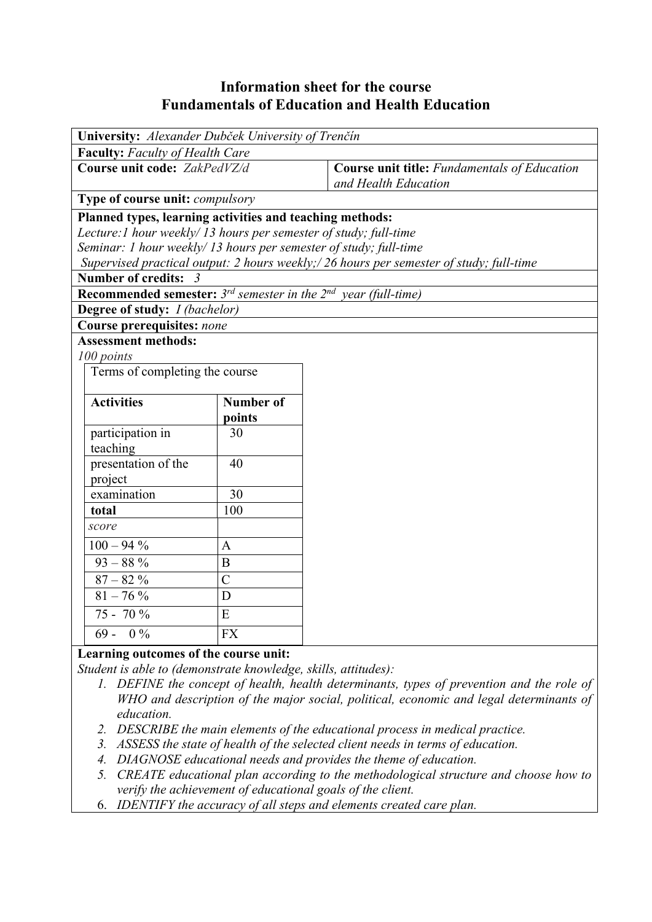# **Information sheet for the course Fundamentals of Education and Health Education**

| University: Alexander Dubček University of Trenčín                                      |                |                                                                             |  |  |  |  |  |
|-----------------------------------------------------------------------------------------|----------------|-----------------------------------------------------------------------------|--|--|--|--|--|
| <b>Faculty:</b> Faculty of Health Care                                                  |                |                                                                             |  |  |  |  |  |
| Course unit code: ZakPedVZ/d                                                            |                | <b>Course unit title:</b> Fundamentals of Education<br>and Health Education |  |  |  |  |  |
| Type of course unit: <i>compulsory</i>                                                  |                |                                                                             |  |  |  |  |  |
| Planned types, learning activities and teaching methods:                                |                |                                                                             |  |  |  |  |  |
| Lecture: 1 hour weekly/13 hours per semester of study; full-time                        |                |                                                                             |  |  |  |  |  |
| Seminar: 1 hour weekly/13 hours per semester of study; full-time                        |                |                                                                             |  |  |  |  |  |
| Supervised practical output: 2 hours weekly;/ 26 hours per semester of study; full-time |                |                                                                             |  |  |  |  |  |
| Number of credits: 3                                                                    |                |                                                                             |  |  |  |  |  |
| <b>Recommended semester:</b> $3^{rd}$ semester in the $2^{nd}$ year (full-time)         |                |                                                                             |  |  |  |  |  |
| Degree of study: <i>I (bachelor)</i>                                                    |                |                                                                             |  |  |  |  |  |
| <b>Course prerequisites: none</b>                                                       |                |                                                                             |  |  |  |  |  |
| <b>Assessment methods:</b>                                                              |                |                                                                             |  |  |  |  |  |
| 100 points                                                                              |                |                                                                             |  |  |  |  |  |
| Terms of completing the course                                                          |                |                                                                             |  |  |  |  |  |
|                                                                                         |                |                                                                             |  |  |  |  |  |
| <b>Activities</b>                                                                       | Number of      |                                                                             |  |  |  |  |  |
|                                                                                         | points         |                                                                             |  |  |  |  |  |
| participation in                                                                        | 30             |                                                                             |  |  |  |  |  |
| teaching                                                                                |                |                                                                             |  |  |  |  |  |
| presentation of the                                                                     | 40             |                                                                             |  |  |  |  |  |
| project                                                                                 |                |                                                                             |  |  |  |  |  |
| examination                                                                             | 30             |                                                                             |  |  |  |  |  |
| total                                                                                   | 100            |                                                                             |  |  |  |  |  |
| score                                                                                   |                |                                                                             |  |  |  |  |  |
| $100 - 94 %$                                                                            | $\mathbf{A}$   |                                                                             |  |  |  |  |  |
| $93 - 88\%$                                                                             | $\overline{B}$ |                                                                             |  |  |  |  |  |
| $87-82~\%$                                                                              | $\overline{C}$ |                                                                             |  |  |  |  |  |
| $\frac{81-76}{8}$ %                                                                     | D              |                                                                             |  |  |  |  |  |
| 75 - 70 %                                                                               | E              |                                                                             |  |  |  |  |  |
| $69 - 0\%$                                                                              | <b>FX</b>      |                                                                             |  |  |  |  |  |
| Learning outcomes of the course unit:                                                   |                |                                                                             |  |  |  |  |  |

*Student is able to (demonstrate knowledge, skills, attitudes):* 

*1. DEFINE the concept of health, health determinants, types of prevention and the role of WHO and description of the major social, political, economic and legal determinants of education.*

- *2. DESCRIBE the main elements of the educational process in medical practice.*
- *3. ASSESS the state of health of the selected client needs in terms of education.*
- *4. DIAGNOSE educational needs and provides the theme of education.*
- *5. CREATE educational plan according to the methodological structure and choose how to verify the achievement of educational goals of the client.*
- 6. *IDENTIFY the accuracy of all steps and elements created care plan.*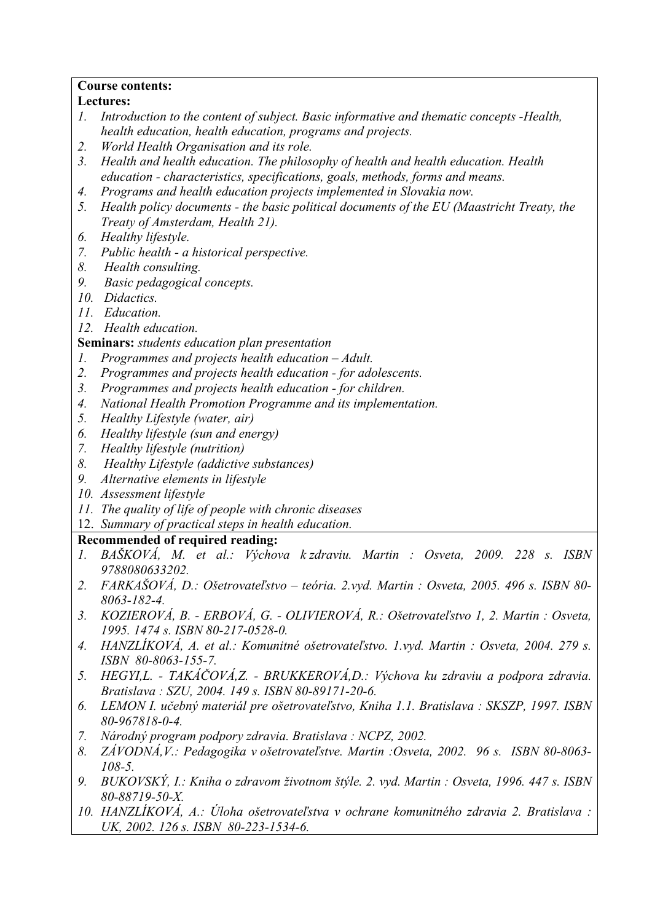### **Course contents:**

### **Lectures:**

- *1. Introduction to the content of subject. Basic informative and thematic concepts -Health, health education, health education, programs and projects.*
- *2. World Health Organisation and its role.*
- *3. Health and health education. The philosophy of health and health education. Health education - characteristics, specifications, goals, methods, forms and means.*
- *4. Programs and health education projects implemented in Slovakia now.*
- *5. Health policy documents the basic political documents of the EU (Maastricht Treaty, the Treaty of Amsterdam, Health 21).*
- *6. Healthy lifestyle.*
- *7. Public health a historical perspective.*
- *8. Health consulting.*
- *9. Basic pedagogical concepts.*
- *10. Didactics.*
- *11. Education.*
- *12. Health education.*

### **Seminars:** *students education plan presentation*

- *1. Programmes and projects health education Adult.*
- *2. Programmes and projects health education for adolescents.*
- *3. Programmes and projects health education for children.*
- *4. National Health Promotion Programme and its implementation.*
- *5. Healthy Lifestyle (water, air)*
- *6. Healthy lifestyle (sun and energy)*
- *7. Healthy lifestyle (nutrition)*
- *8. Healthy Lifestyle (addictive substances)*
- *9. Alternative elements in lifestyle*
- *10. Assessment lifestyle*
- *11. The quality of life of people with chronic diseases*
- 12. *Summary of practical steps in health education.*

## **Recommended of required reading:**

- *1. BAŠKOVÁ, M. et al.: Výchova k zdraviu. Martin : Osveta, 2009. 228 s. ISBN 9788080633202.*
- *2. FARKAŠOVÁ, D.: Ošetrovateľstvo teória. 2.vyd. Martin : Osveta, 2005. 496 s. ISBN 80- 8063-182-4.*
- *3. KOZIEROVÁ, B. ERBOVÁ, G. OLIVIEROVÁ, R.: Ošetrovateľstvo 1, 2. Martin : Osveta, 1995. 1474 s. ISBN 80-217-0528-0.*
- *4. HANZLÍKOVÁ, A. et al.: Komunitné ošetrovateľstvo. 1.vyd. Martin : Osveta, 2004. 279 s. ISBN 80-8063-155-7.*
- *5. HEGYI,L. TAKÁČOVÁ,Z. BRUKKEROVÁ,D.: Výchova ku zdraviu a podpora zdravia. Bratislava : SZU, 2004. 149 s. ISBN 80-89171-20-6.*
- *6. LEMON I. učebný materiál pre ošetrovateľstvo, Kniha 1.1. Bratislava : SKSZP, 1997. ISBN 80-967818-0-4.*
- *7. Národný program podpory zdravia. Bratislava : NCPZ, 2002.*
- *8. ZÁVODNÁ,V.: Pedagogika v ošetrovateľstve. Martin :Osveta, 2002. 96 s. ISBN 80-8063- 108-5.*
- *9. BUKOVSKÝ, I.: Kniha o zdravom životnom štýle. 2. vyd. Martin : Osveta, 1996. 447 s. ISBN 80-88719-50-X.*
- *10. HANZLÍKOVÁ, A.: Úloha ošetrovateľstva v ochrane komunitného zdravia 2. Bratislava : UK, 2002. 126 s. ISBN 80-223-1534-6.*